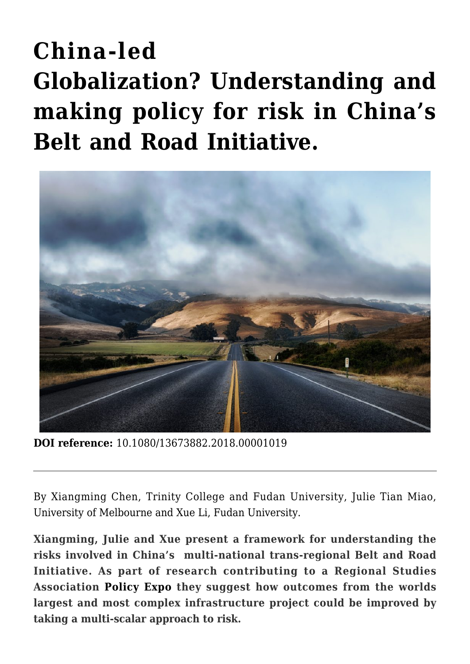# **[China-led](https://regions.regionalstudies.org/ezine/article/china-led-globalization-understanding-and-making-policy-for-risk-in-chinas-belt-and-road-initiative/?doi=10.1080/13673882.2018.00001019) [Globalization? Understanding and](https://regions.regionalstudies.org/ezine/article/china-led-globalization-understanding-and-making-policy-for-risk-in-chinas-belt-and-road-initiative/?doi=10.1080/13673882.2018.00001019) [making policy for risk in China's](https://regions.regionalstudies.org/ezine/article/china-led-globalization-understanding-and-making-policy-for-risk-in-chinas-belt-and-road-initiative/?doi=10.1080/13673882.2018.00001019) [Belt and Road Initiative.](https://regions.regionalstudies.org/ezine/article/china-led-globalization-understanding-and-making-policy-for-risk-in-chinas-belt-and-road-initiative/?doi=10.1080/13673882.2018.00001019)**



**DOI reference:** 10.1080/13673882.2018.00001019

By [Xiangming Chen, Trinity College](https://www.trincoll.edu/AboutTrinity/college/key/Pages/Chen.aspx) and Fudan University, [Julie Tian Miao,](https://msd.unimelb.edu.au/about/our-people/academic/dr-julie-tian-miao) [University of Melbourne](https://msd.unimelb.edu.au/about/our-people/academic/dr-julie-tian-miao) and Xue Li, Fudan University.

**Xiangming, Julie and Xue present a framework for understanding the risks involved in China's multi-national trans-regional Belt and Road Initiative. As part of research contributing to a Regional Studies Association [Policy Expo](https://www.regionalstudies.org/funding/policy-expo-grant-scheme/) they suggest how outcomes from the worlds largest and most complex infrastructure project could be improved by taking a multi-scalar approach to risk.**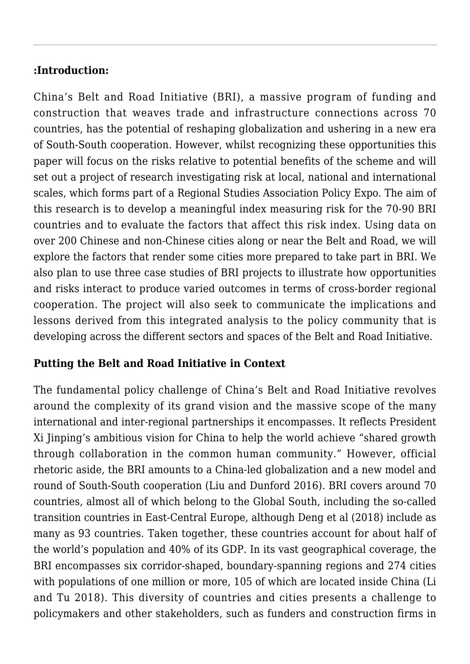# **:Introduction:**

China's [Belt and Road Initiative](http://english.gov.cn/beltAndRoad/) (BRI), a massive program of funding and construction that weaves trade and infrastructure connections across 70 countries, has the potential of reshaping globalization and ushering in a new era of South-South cooperation. However, whilst recognizing these opportunities this paper will focus on the risks relative to potential benefits of the scheme and will set out a project of research investigating risk at local, national and international scales, which forms part of a Regional Studies Association [Policy Expo](https://www.regionalstudies.org/funding/policy-expo-grant-scheme/). The aim of this research is to develop a meaningful index measuring risk for the 70-90 BRI countries and to evaluate the factors that affect this risk index. Using data on over 200 Chinese and non-Chinese cities along or near the Belt and Road, we will explore the factors that render some cities more prepared to take part in BRI. We also plan to use three case studies of BRI projects to illustrate how opportunities and risks interact to produce varied outcomes in terms of cross-border regional cooperation. The project will also seek to communicate the implications and lessons derived from this integrated analysis to the policy community that is developing across the different sectors and spaces of the Belt and Road Initiative.

# **Putting the Belt and Road Initiative in Context**

The fundamental policy challenge of China's Belt and Road Initiative revolves around the complexity of its grand vision and the massive scope of the many international and inter-regional partnerships it encompasses. It reflects President Xi Jinping's ambitious vision for China to help the world achieve "shared growth through collaboration in the common human community." However, official rhetoric aside, the BRI amounts to a China-led globalization and a new model and round of South-South cooperation (Liu and Dunford [2016](https://doi.org/10.1080/23792949.2016.1232598)). BRI covers around 70 countries, almost all of which belong to the Global South, including the so-called transition countries in East-Central Europe, although Deng et al (2018) include as many as 93 countries. Taken together, these countries account for about half of the world's population and 40% of its GDP. In its vast geographical coverage, the BRI encompasses six corridor-shaped, boundary-spanning regions and 274 cities with populations of one million or more, 105 of which are located inside China (Li and Tu 2018). This diversity of countries and cities presents a challenge to policymakers and other stakeholders, such as funders and construction firms in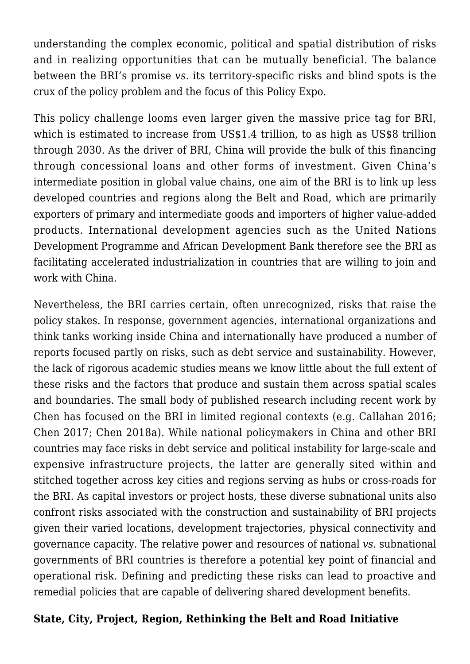understanding the complex economic, political and spatial distribution of risks and in realizing opportunities that can be mutually beneficial. The balance between the BRI's promise *vs.* its territory-specific risks and blind spots is the crux of the policy problem and the focus of this Policy Expo.

This policy challenge looms even larger given the massive price tag for BRI, which is estimated to increase from US\$1.4 trillion, to as high as US\$8 trillion through 2030. As the driver of BRI, China will provide the bulk of this financing through concessional loans and other forms of investment. Given China's intermediate position in global value chains, one aim of the BRI is to link up less developed countries and regions along the Belt and Road, which are primarily exporters of primary and intermediate goods and importers of higher value-added products. International development agencies such as the [United Nations](http://www.undp.org/content/undp/en/home.html) [Development Programme](http://www.undp.org/content/undp/en/home.html) and [African Development Bank](https://www.afdb.org/en/) therefore see the BRI as facilitating accelerated industrialization in countries that are willing to join and work with China.

Nevertheless, the BRI carries certain, often unrecognized, risks that raise the policy stakes. In response, government agencies, international organizations and think tanks working inside China and internationally have produced a number of reports focused partly on risks, such as debt service and sustainability. However, the lack of rigorous academic studies means we know little about the full extent of these risks and the factors that produce and sustain them across spatial scales and boundaries. The small body of published research including recent work by Chen has focused on the BRI in limited regional contexts (e.g. Callahan 2016; Chen 2017; Chen 2018a). While national policymakers in China and other BRI countries may face risks in debt service and political instability for large-scale and expensive infrastructure projects, the latter are generally sited within and stitched together across key cities and regions serving as hubs or cross-roads for the BRI. As capital investors or project hosts, these diverse subnational units also confront risks associated with the construction and sustainability of BRI projects given their varied locations, development trajectories, physical connectivity and governance capacity. The relative power and resources of national *vs*. subnational governments of BRI countries is therefore a potential key point of financial and operational risk. Defining and predicting these risks can lead to proactive and remedial policies that are capable of delivering shared development benefits.

#### **State, City, Project, Region, Rethinking the Belt and Road Initiative**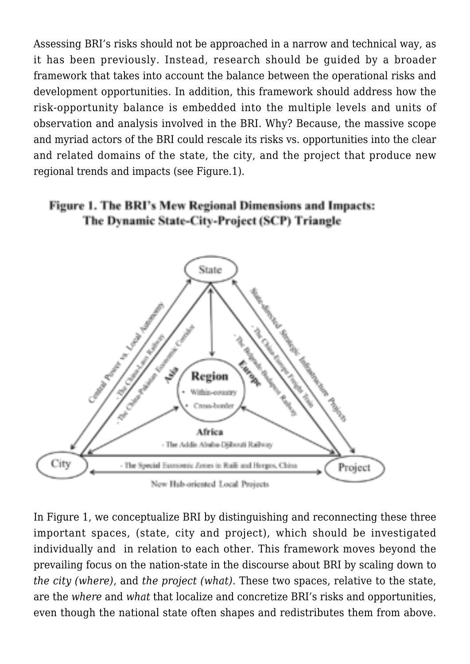Assessing BRI's risks should not be approached in a narrow and technical way, as it has been previously. Instead, research should be guided by a broader framework that takes into account the balance between the operational risks and development opportunities. In addition, this framework should address how the risk-opportunity balance is embedded into the multiple levels and units of observation and analysis involved in the BRI. Why? Because, the massive scope and myriad actors of the BRI could rescale its risks vs. opportunities into the clear and related domains of the state, the city, and the project that produce new regional trends and impacts (see Figure.1).

#### Figure 1. The BRI's Mew Regional Dimensions and Impacts: The Dynamic State-City-Project (SCP) Triangle



In Figure 1, we conceptualize BRI by distinguishing and reconnecting these three important spaces, (state, city and project), which should be investigated individually and in relation to each other. This framework moves beyond the prevailing focus on the nation-state in the discourse about BRI by scaling down to *the city (where)*, and *the project (what)*. These two spaces, relative to the state, are the *where* and *what* that localize and concretize BRI's risks and opportunities, even though the national state often shapes and redistributes them from above.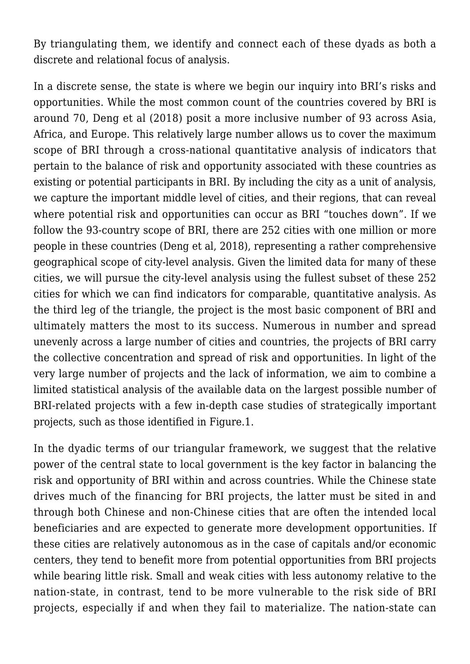By triangulating them, we identify and connect each of these dyads as both a discrete and relational focus of analysis.

In a discrete sense, the state is where we begin our inquiry into BRI's risks and opportunities. While the most common count of the countries covered by BRI is around 70, Deng et al (2018) posit a more inclusive number of 93 across Asia, Africa, and Europe. This relatively large number allows us to cover the maximum scope of BRI through a cross-national quantitative analysis of indicators that pertain to the balance of risk and opportunity associated with these countries as existing or potential participants in BRI. By including the city as a unit of analysis, we capture the important middle level of cities, and their regions, that can reveal where potential risk and opportunities can occur as BRI "touches down". If we follow the 93-country scope of BRI, there are 252 cities with one million or more people in these countries (Deng et al, 2018), representing a rather comprehensive geographical scope of city-level analysis. Given the limited data for many of these cities, we will pursue the city-level analysis using the fullest subset of these 252 cities for which we can find indicators for comparable, quantitative analysis. As the third leg of the triangle, the project is the most basic component of BRI and ultimately matters the most to its success. Numerous in number and spread unevenly across a large number of cities and countries, the projects of BRI carry the collective concentration and spread of risk and opportunities. In light of the very large number of projects and the lack of information, we aim to combine a limited statistical analysis of the available data on the largest possible number of BRI-related projects with a few in-depth case studies of strategically important projects, such as those identified in Figure.1.

In the dyadic terms of our triangular framework, we suggest that the relative power of the central state to local government is the key factor in balancing the risk and opportunity of BRI within and across countries. While the Chinese state drives much of the financing for BRI projects, the latter must be sited in and through both Chinese and non-Chinese cities that are often the intended local beneficiaries and are expected to generate more development opportunities. If these cities are relatively autonomous as in the case of capitals and/or economic centers, they tend to benefit more from potential opportunities from BRI projects while bearing little risk. Small and weak cities with less autonomy relative to the nation-state, in contrast, tend to be more vulnerable to the risk side of BRI projects, especially if and when they fail to materialize. The nation-state can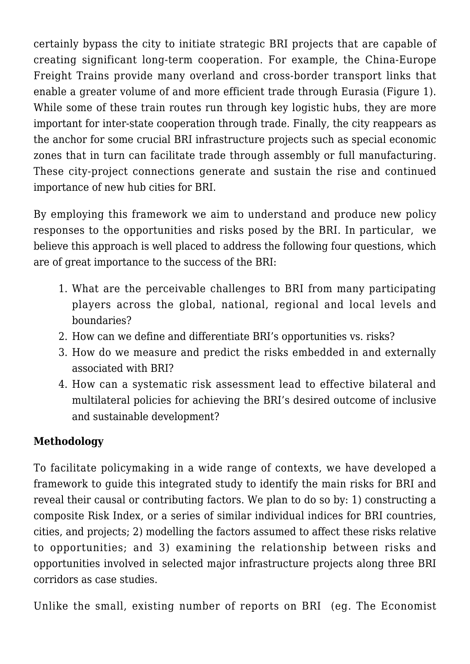certainly bypass the city to initiate strategic BRI projects that are capable of creating significant long-term cooperation. For example, the China-Europe Freight Trains provide many overland and cross-border transport links that enable a greater volume of and more efficient trade through Eurasia (Figure 1). While some of these train routes run through key logistic hubs, they are more important for inter-state cooperation through trade. Finally, the city reappears as the anchor for some crucial BRI infrastructure projects such as special economic zones that in turn can facilitate trade through assembly or full manufacturing. These city-project connections generate and sustain the rise and continued importance of new hub cities for BRI.

By employing this framework we aim to understand and produce new policy responses to the opportunities and risks posed by the BRI. In particular, we believe this approach is well placed to address the following four questions, which are of great importance to the success of the BRI:

- 1. What are the perceivable challenges to BRI from many participating players across the global, national, regional and local levels and boundaries?
- 2. How can we define and differentiate BRI's opportunities vs. risks?
- 3. How do we measure and predict the risks embedded in and externally associated with BRI?
- 4. How can a systematic risk assessment lead to effective bilateral and multilateral policies for achieving the BRI's desired outcome of inclusive and sustainable development?

# **Methodology**

To facilitate policymaking in a wide range of contexts, we have developed a framework to guide this integrated study to identify the main risks for BRI and reveal their causal or contributing factors. We plan to do so by: 1) constructing a composite Risk Index, or a series of similar individual indices for BRI countries, cities, and projects; 2) modelling the factors assumed to affect these risks relative to opportunities; and 3) examining the relationship between risks and opportunities involved in selected major infrastructure projects along three BRI corridors as case studies.

Unlike the small, existing number of reports on BRI (eg. [The Economist](https://www.eiu.com/home.aspx)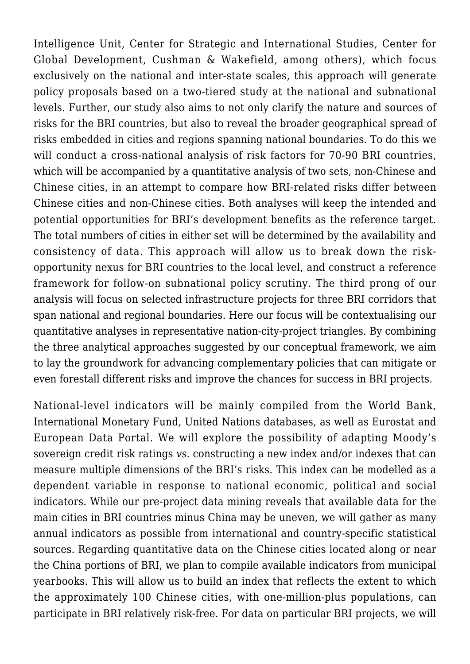[Intelligence Unit](https://www.eiu.com/home.aspx), [Center for Strategic and International Studies](https://www.csis.org/), [Center for](https://www.cgdev.org/) [Global Development](https://www.cgdev.org/), [Cushman & Wakefield,](http://www.cushmanwakefield.com/en) among others), which focus exclusively on the national and inter-state scales, this approach will generate policy proposals based on a two-tiered study at the national and subnational levels. Further, our study also aims to not only clarify the nature and sources of risks for the BRI countries, but also to reveal the broader geographical spread of risks embedded in cities and regions spanning national boundaries. To do this we will conduct a cross-national analysis of risk factors for 70-90 BRI countries, which will be accompanied by a quantitative analysis of two sets, non-Chinese and Chinese cities, in an attempt to compare how BRI-related risks differ between Chinese cities and non-Chinese cities. Both analyses will keep the intended and potential opportunities for BRI's development benefits as the reference target. The total numbers of cities in either set will be determined by the availability and consistency of data. This approach will allow us to break down the riskopportunity nexus for BRI countries to the local level, and construct a reference framework for follow-on subnational policy scrutiny. The third prong of our analysis will focus on selected infrastructure projects for three BRI corridors that span national and regional boundaries. Here our focus will be contextualising our quantitative analyses in representative nation-city-project triangles. By combining the three analytical approaches suggested by our conceptual framework, we aim to lay the groundwork for advancing complementary policies that can mitigate or even forestall different risks and improve the chances for success in BRI projects.

National-level indicators will be mainly compiled from the World Bank, International Monetary Fund, United Nations databases, as well as [Eurostat](https://ec.europa.eu/eurostat) and [European Data Portal](https://www.europeandataportal.eu/en/homepage). We will explore the possibility of adapting Moody's sovereign credit risk ratings *vs.* constructing a new index and/or indexes that can measure multiple dimensions of the BRI's risks. This index can be modelled as a dependent variable in response to national economic, political and social indicators. While our pre-project data mining reveals that available data for the main cities in BRI countries minus China may be uneven, we will gather as many annual indicators as possible from international and country-specific statistical sources. Regarding quantitative data on the Chinese cities located along or near the China portions of BRI, we plan to compile available indicators from municipal yearbooks. This will allow us to build an index that reflects the extent to which the approximately 100 Chinese cities, with one-million-plus populations, can participate in BRI relatively risk-free. For data on particular BRI projects, we will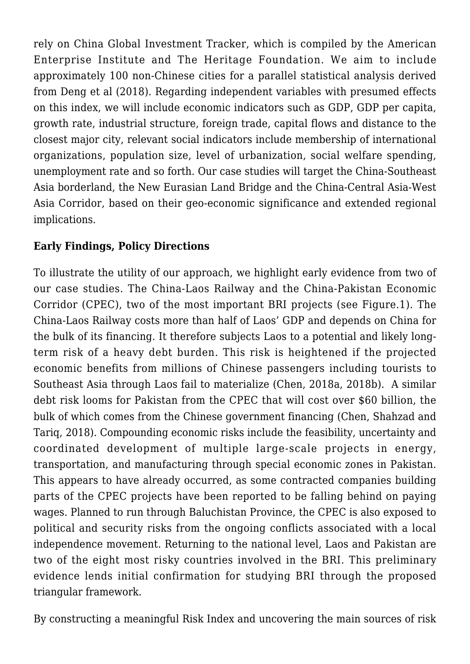rely on China Global Investment Tracker, which is compiled by the [American](http://www.aei.org/) [Enterprise Institute](http://www.aei.org/) and [The Heritage Foundation.](https://www.heritage.org/) We aim to include approximately 100 non-Chinese cities for a parallel statistical analysis derived from Deng et al (2018). Regarding independent variables with presumed effects on this index, we will include economic indicators such as GDP, GDP per capita, growth rate, industrial structure, foreign trade, capital flows and distance to the closest major city, relevant social indicators include membership of international organizations, population size, level of urbanization, social welfare spending, unemployment rate and so forth. Our case studies will target the China-Southeast Asia borderland, the New Eurasian Land Bridge and the China-Central Asia-West Asia Corridor, based on their geo-economic significance and extended regional implications.

# **Early Findings, Policy Directions**

To illustrate the utility of our approach, we highlight early evidence from two of our case studies. The [China-Laos Railway](http://www.xinhuanet.com/english/2018-06/22/c_137274199.htm) and the [China-Pakistan Economic](http://cpec.gov.pk/) [Corridor](http://cpec.gov.pk/) (CPEC), two of the most important BRI projects (see Figure.1). The China-Laos Railway costs more than half of Laos' GDP and depends on China for the bulk of its financing. It therefore subjects Laos to a potential and likely longterm risk of a heavy debt burden. This risk is heightened if the projected economic benefits from millions of Chinese passengers including tourists to Southeast Asia through Laos fail to materialize (Chen, 2018a, 2018b). A similar debt risk looms for Pakistan from the CPEC that will cost over \$60 billion, the bulk of which comes from the Chinese government financing (Chen, Shahzad and Tariq, 2018). Compounding economic risks include the feasibility, uncertainty and coordinated development of multiple large-scale projects in energy, transportation, and manufacturing through special economic zones in Pakistan. This appears to have already occurred, as some contracted companies building parts of the CPEC projects have been reported to be falling behind on paying wages. Planned to run through Baluchistan Province, the CPEC is also exposed to political and security risks from the ongoing conflicts associated with a local independence movement. Returning to the national level, Laos and Pakistan are two of the eight most risky countries involved in the BRI. This preliminary evidence lends initial confirmation for studying BRI through the proposed triangular framework.

By constructing a meaningful Risk Index and uncovering the main sources of risk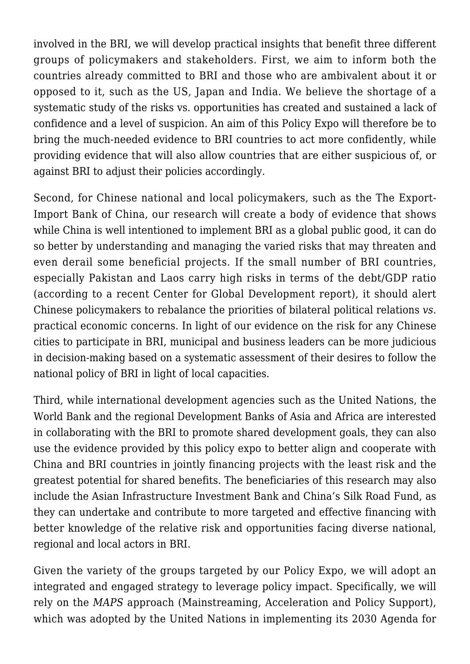involved in the BRI, we will develop practical insights that benefit three different groups of policymakers and stakeholders. First, we aim to inform both the countries already committed to BRI and those who are ambivalent about it or opposed to it, such as the US, Japan and India. We believe the shortage of a systematic study of the risks vs. opportunities has created and sustained a lack of confidence and a level of suspicion. An aim of this Policy Expo will therefore be to bring the much-needed evidence to BRI countries to act more confidently, while providing evidence that will also allow countries that are either suspicious of, or against BRI to adjust their policies accordingly.

Second, for Chinese national and local policymakers, such as the The Export-Import Bank of China, our research will create a body of evidence that shows while China is well intentioned to implement BRI as a global public good, it can do so better by understanding and managing the varied risks that may threaten and even derail some beneficial projects. If the small number of BRI countries, especially Pakistan and Laos carry high risks in terms of the debt/GDP ratio (according to a recent Center for Global Development report), it should alert Chinese policymakers to rebalance the priorities of bilateral political relations *vs*. practical economic concerns. In light of our evidence on the risk for any Chinese cities to participate in BRI, municipal and business leaders can be more judicious in decision-making based on a systematic assessment of their desires to follow the national policy of BRI in light of local capacities.

Third, while international development agencies such as the [United Nations](http://www.un.org/en/), the World Bank and the regional Development Banks of Asia and Africa are interested in collaborating with the BRI to promote shared development goals, they can also use the evidence provided by this policy expo to better align and cooperate with China and BRI countries in jointly financing projects with the least risk and the greatest potential for shared benefits. The beneficiaries of this research may also include the Asian Infrastructure Investment Bank and China's Silk Road Fund, as they can undertake and contribute to more targeted and effective financing with better knowledge of the relative risk and opportunities facing diverse national, regional and local actors in BRI.

Given the variety of the groups targeted by our Policy Expo, we will adopt an integrated and engaged strategy to leverage policy impact. Specifically, we will rely on the *MAPS* approach (Mainstreaming, Acceleration and Policy Support), which was adopted by the United Nations in implementing its [2030 Agenda for](https://sustainabledevelopment.un.org/post2015/transformingourworld)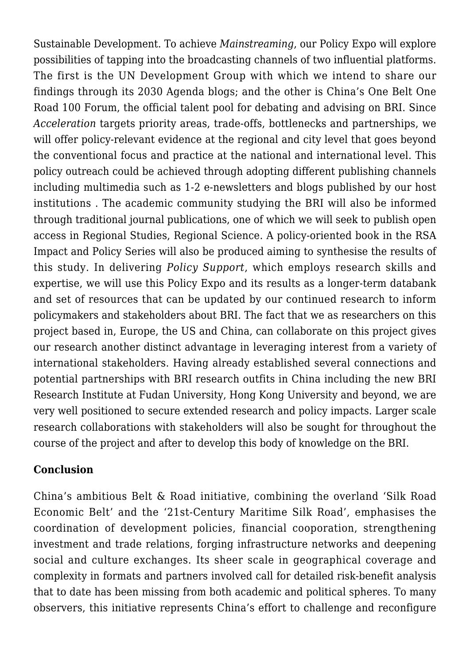[Sustainable Development](https://sustainabledevelopment.un.org/post2015/transformingourworld). To achieve *Mainstreaming*, our Policy Expo will explore possibilities of tapping into the broadcasting channels of two influential platforms. The first is the UN Development Group with which we intend to share our findings through its 2030 Agenda blogs; and the other is China's One Belt One Road 100 Forum, the official talent pool for debating and advising on BRI. Since *Acceleration* targets priority areas, trade-offs, bottlenecks and partnerships, we will offer policy-relevant evidence at the regional and city level that goes beyond the conventional focus and practice at the national and international level. This policy outreach could be achieved through adopting different publishing channels including multimedia such as 1-2 e-newsletters and blogs published by our host institutions . The academic community studying the BRI will also be informed through traditional journal publications, one of which we will seek to publish open access in [Regional Studies, Regional Science](https://www.tandfonline.com/loi/rsrs20). A policy-oriented book in the RSA Impact and Policy Series will also be produced aiming to synthesise the results of this study. In delivering *Policy Support*, which employs research skills and expertise, we will use this Policy Expo and its results as a longer-term databank and set of resources that can be updated by our continued research to inform policymakers and stakeholders about BRI. The fact that we as researchers on this project based in, Europe, the US and China, can collaborate on this project gives our research another distinct advantage in leveraging interest from a variety of international stakeholders. Having already established several connections and potential partnerships with BRI research outfits in China including the new BRI Research Institute at Fudan University, Hong Kong University and beyond, we are very well positioned to secure extended research and policy impacts. Larger scale research collaborations with stakeholders will also be sought for throughout the course of the project and after to develop this body of knowledge on the BRI.

# **Conclusion**

China's ambitious Belt & Road initiative, combining the overland '[Silk Road](https://www.fes-asia.org/news/the-silk-road-economic-belt/) [Economic Belt](https://www.fes-asia.org/news/the-silk-road-economic-belt/)' and the '21st-Century Maritime Silk Road', emphasises the coordination of development policies, financial cooporation, strengthening investment and trade relations, forging infrastructure networks and deepening social and culture exchanges. Its sheer scale in geographical coverage and complexity in formats and partners involved call for detailed risk-benefit analysis that to date has been missing from both academic and political spheres. To many observers, this initiative represents China's effort to challenge and reconfigure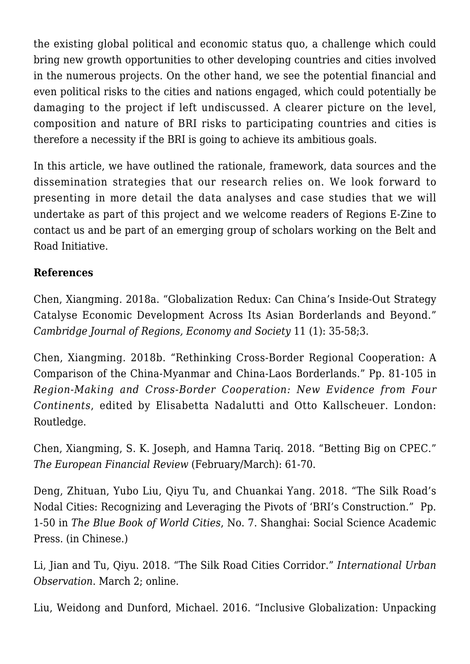the existing global political and economic status quo, a challenge which could bring new growth opportunities to other developing countries and cities involved in the numerous projects. On the other hand, we see the potential financial and even political risks to the cities and nations engaged, which could potentially be damaging to the project if left undiscussed. A clearer picture on the level, composition and nature of BRI risks to participating countries and cities is therefore a necessity if the BRI is going to achieve its ambitious goals.

In this article, we have outlined the rationale, framework, data sources and the dissemination strategies that our research relies on. We look forward to presenting in more detail the data analyses and case studies that we will undertake as part of this project and we welcome readers of [Regions E-Zine](https://regions.regionalstudies.org/) to contact us and be part of an emerging group of scholars working on the Belt and Road Initiative.

# **References**

Chen, Xiangming. 2018a. "[Globalization Redux: Can China's Inside-Out Strategy](https://doi.org/10.1093/cjres/rsy003) [Catalyse Economic Development Across Its Asian Borderlands and Beyond](https://doi.org/10.1093/cjres/rsy003)." *Cambridge Journal of Regions, Economy and Society* 11 (1): 35-58;3.

Chen, Xiangming. 2018b. "[Rethinking Cross-Border Regional Cooperation: A](https://www.taylorfrancis.com/books/e/9781351764551/chapters/10.4324%252F9781315195605-6) [Comparison of the China-Myanmar and China-Laos Borderlands](https://www.taylorfrancis.com/books/e/9781351764551/chapters/10.4324%252F9781315195605-6)." Pp. 81-105 in *Region-Making and Cross-Border Cooperation: New Evidence from Four Continents*, edited by Elisabetta Nadalutti and Otto Kallscheuer. London: Routledge.

Chen, Xiangming, S. K. Joseph, and Hamna Tariq. 2018. "[Betting Big on CPEC.](http://www.europeanfinancialreview.com/?p=21658)" *The European Financial Review* (February/March): 61-70.

Deng, Zhituan, Yubo Liu, Qiyu Tu, and Chuankai Yang. 2018. "The Silk Road's Nodal Cities: Recognizing and Leveraging the Pivots of 'BRI's Construction." Pp. 1-50 in *The Blue Book of World Cities*, No. 7. Shanghai: Social Science Academic Press. (in Chinese.)

Li, Jian and Tu, Qiyu. 2018. "The Silk Road Cities Corridor." *International Urban Observation*. March 2; online.

Liu, Weidong and Dunford, Michael. 2016. "[Inclusive Globalization: Unpacking](https://doi.org/10.1080/23792949.2016.1232598)